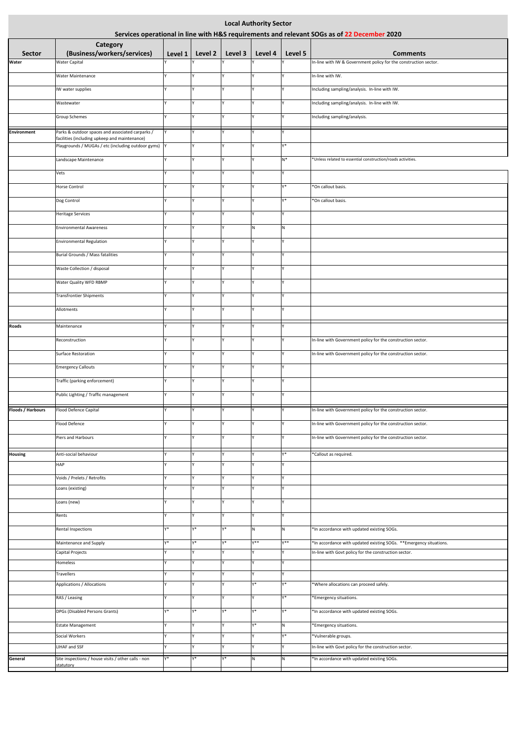| <b>Local Authority Sector</b><br>Services operational in line with H&S requirements and relevant SOGs as of 22 December 2020 |                                                                                                   |              |         |                    |                   |              |                                                                                     |  |  |  |  |
|------------------------------------------------------------------------------------------------------------------------------|---------------------------------------------------------------------------------------------------|--------------|---------|--------------------|-------------------|--------------|-------------------------------------------------------------------------------------|--|--|--|--|
|                                                                                                                              | <b>Category</b>                                                                                   |              |         |                    |                   |              |                                                                                     |  |  |  |  |
| <b>Sector</b><br>Water                                                                                                       | (Business/workers/services)<br><b>Water Capital</b>                                               | Level 1 $ $  | Level 2 | Level 3            | Level 4           | Level 5      | <b>Comments</b><br>In-line with IW & Government policy for the construction sector. |  |  |  |  |
|                                                                                                                              | <b>Water Maintenance</b>                                                                          |              |         | v                  | v                 | v            | In-line with IW.                                                                    |  |  |  |  |
|                                                                                                                              |                                                                                                   |              |         | v                  |                   |              |                                                                                     |  |  |  |  |
|                                                                                                                              | IW water supplies                                                                                 |              |         |                    | Y                 |              | Including sampling/analysis. In-line with IW.                                       |  |  |  |  |
|                                                                                                                              | Wastewater                                                                                        |              |         | v                  |                   |              | Including sampling/analysis. In-line with IW.                                       |  |  |  |  |
|                                                                                                                              | <b>Group Schemes</b>                                                                              |              |         | v                  |                   |              | Including sampling/analysis.                                                        |  |  |  |  |
| Environment                                                                                                                  | Parks & outdoor spaces and associated carparks /<br>facilities (including upkeep and maintenance) | Y            |         | v                  | v                 |              |                                                                                     |  |  |  |  |
|                                                                                                                              | Playgrounds / MUGAs / etc (including outdoor gyms)  Y                                             |              |         | $\mathsf{v}$       |                   | γ*           |                                                                                     |  |  |  |  |
|                                                                                                                              | Landscape Maintenance                                                                             | v            |         | v                  |                   | $N^*$        | *Unless related to essential construction/roads activities.                         |  |  |  |  |
|                                                                                                                              | Vets                                                                                              |              |         | v                  | v                 |              |                                                                                     |  |  |  |  |
|                                                                                                                              | <b>Horse Control</b>                                                                              |              |         | v                  | v                 | γ*           | *On callout basis.                                                                  |  |  |  |  |
|                                                                                                                              | Dog Control                                                                                       |              |         | v                  |                   | y*           | *On callout basis.                                                                  |  |  |  |  |
|                                                                                                                              | <b>Heritage Services</b>                                                                          | $\mathsf{v}$ |         | v                  | $\mathsf{v}$      | $\checkmark$ |                                                                                     |  |  |  |  |
|                                                                                                                              | <b>Environmental Awareness</b>                                                                    |              |         | v                  | N                 | N            |                                                                                     |  |  |  |  |
|                                                                                                                              | <b>Environmental Regulation</b>                                                                   |              |         | v                  |                   |              |                                                                                     |  |  |  |  |
|                                                                                                                              | Burial Grounds / Mass fatalities                                                                  |              |         | $\checkmark$       | v                 | $\mathsf{v}$ |                                                                                     |  |  |  |  |
|                                                                                                                              |                                                                                                   | v            |         | v                  | v                 | v            |                                                                                     |  |  |  |  |
|                                                                                                                              | Waste Collection / disposal                                                                       |              |         |                    |                   |              |                                                                                     |  |  |  |  |
|                                                                                                                              | Water Quality WFD RBMP                                                                            |              |         | v                  |                   |              |                                                                                     |  |  |  |  |
|                                                                                                                              | <b>Transfrontier Shipments</b>                                                                    | v            |         |                    |                   |              |                                                                                     |  |  |  |  |
|                                                                                                                              | Allotments                                                                                        | v            |         | v                  | v                 | v            |                                                                                     |  |  |  |  |
| <b>Roads</b>                                                                                                                 | Maintenance                                                                                       |              |         | Y                  |                   |              |                                                                                     |  |  |  |  |
|                                                                                                                              | Reconstruction                                                                                    |              |         | Y                  | ٧                 |              | In-line with Government policy for the construction sector.                         |  |  |  |  |
|                                                                                                                              | <b>Surface Restoration</b>                                                                        |              |         | Y                  | Y                 |              | In-line with Government policy for the construction sector.                         |  |  |  |  |
|                                                                                                                              | <b>Emergency Callouts</b>                                                                         |              |         | v                  | v                 |              |                                                                                     |  |  |  |  |
|                                                                                                                              | Traffic (parking enforcement)                                                                     | $\mathsf{v}$ |         | v                  | v                 | v            |                                                                                     |  |  |  |  |
|                                                                                                                              | Public Lighting / Traffic management                                                              | v            |         | v                  | v                 | $\checkmark$ |                                                                                     |  |  |  |  |
| <b>Floods / Harbours</b>                                                                                                     | Flood Defence Capital                                                                             |              |         | v                  |                   |              | In-line with Government policy for the construction sector.                         |  |  |  |  |
|                                                                                                                              |                                                                                                   |              |         | v                  | v                 |              |                                                                                     |  |  |  |  |
|                                                                                                                              | Flood Defence                                                                                     |              |         | v                  | $\mathsf{v}$      |              | In-line with Government policy for the construction sector.                         |  |  |  |  |
|                                                                                                                              | Piers and Harbours                                                                                |              |         |                    |                   | Y            | In-line with Government policy for the construction sector.                         |  |  |  |  |
| <b>Housing</b>                                                                                                               | Anti-social behaviour                                                                             |              | v       | <b>V</b>           | <b>Y</b>          | γ*           | *Callout as required.                                                               |  |  |  |  |
|                                                                                                                              | <b>HAP</b>                                                                                        |              |         | Y                  |                   |              |                                                                                     |  |  |  |  |
|                                                                                                                              | Voids / Prelets / Retrofits                                                                       |              |         | v<br>$\mathsf{v}$  | $\checkmark$<br>v | v            |                                                                                     |  |  |  |  |
|                                                                                                                              | Loans (existing)                                                                                  |              |         |                    |                   |              |                                                                                     |  |  |  |  |
|                                                                                                                              | Loans (new)                                                                                       | v            |         | <b>V</b>           | v                 | v            |                                                                                     |  |  |  |  |
|                                                                                                                              | Rents                                                                                             | v            |         | v                  | $\mathsf{v}$      | Y            |                                                                                     |  |  |  |  |
|                                                                                                                              | Rental Inspections                                                                                | γ*           | γ*      | γ*                 | N <sub>1</sub>    | N            | *In accordance with updated existing SOGs.                                          |  |  |  |  |
|                                                                                                                              | Maintenance and Supply                                                                            | y*           | Y*      | γ*<br>$\mathsf{v}$ | $Y^*$             | $Y^*$        | *In accordance with updated existing SOGs. ** Emergency situations.                 |  |  |  |  |
|                                                                                                                              | Capital Projects<br>Homeless                                                                      | $\checkmark$ |         | Y                  | $\mathsf{v}$      | $\checkmark$ | In-line with Govt policy for the construction sector.                               |  |  |  |  |
|                                                                                                                              | <b>Travellers</b>                                                                                 |              |         | l۷                 | I٧                |              |                                                                                     |  |  |  |  |
|                                                                                                                              | Applications / Allocations                                                                        | Y.           |         | Y                  | γ*                | γ*           | *Where allocations can proceed safely.                                              |  |  |  |  |
|                                                                                                                              | RAS / Leasing                                                                                     | $\mathsf{v}$ |         | v                  | v                 | Y*           | *Emergency situations.                                                              |  |  |  |  |
|                                                                                                                              | DPGs (Disabled Persons Grants)                                                                    | y*           | γ*      | Y*                 | γ*                | Y*           | *In accordance with updated existing SOGs.                                          |  |  |  |  |
|                                                                                                                              | <b>Estate Management</b>                                                                          |              |         | Y                  | γ*                | N            | *Emergency situations.                                                              |  |  |  |  |
|                                                                                                                              | Social Workers                                                                                    |              | v       | <b>V</b>           |                   | γ*           | *Vulnerable groups.                                                                 |  |  |  |  |
|                                                                                                                              | LIHAF and SSF                                                                                     | v            | v       | Y                  | v                 |              | In-line with Govt policy for the construction sector.                               |  |  |  |  |
| General                                                                                                                      | Site inspections / house visits / other calls - non<br>statutory                                  | Y*           | γ*      | $*_{\mathsf{Y}}$   | N                 | N            | *In accordance with updated existing SOGs.                                          |  |  |  |  |
|                                                                                                                              |                                                                                                   |              |         |                    |                   |              |                                                                                     |  |  |  |  |